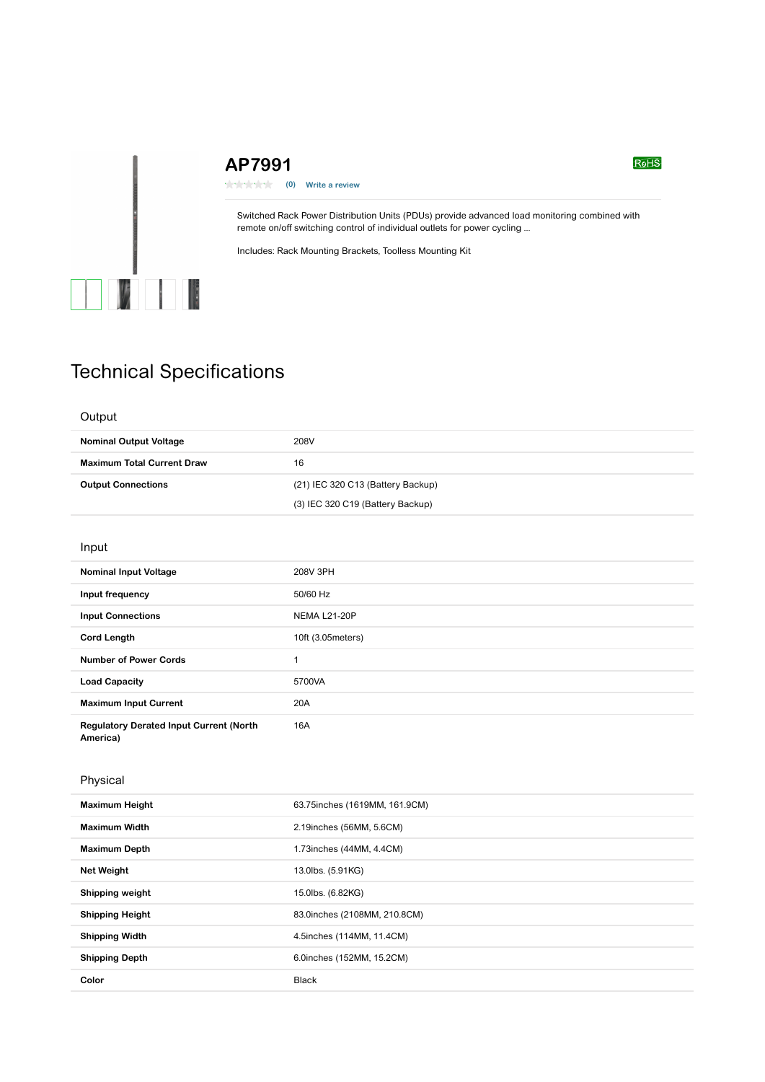# **AP7991**

\*\*\*\*\* **(0) Write a review**

Switched Rack Power Distribution Units (PDUs) provide advanced load monitoring combined with remote on/off switching control of individual outlets for power cycling ...

Includes: Rack Mounting Brackets, Toolless Mounting Kit

# Technical Specifications

 $\mathbb{Z}$   $\mathbb{Z}$ 

## **Output**

| <b>Nominal Output Voltage</b>     | 208V                              |
|-----------------------------------|-----------------------------------|
| <b>Maximum Total Current Draw</b> | 16                                |
| <b>Output Connections</b>         | (21) IEC 320 C13 (Battery Backup) |
|                                   | (3) IEC 320 C19 (Battery Backup)  |

#### Input

| <b>Nominal Input Voltage</b>                               | 208V 3PH            |
|------------------------------------------------------------|---------------------|
| Input frequency                                            | 50/60 Hz            |
| <b>Input Connections</b>                                   | <b>NEMA L21-20P</b> |
| <b>Cord Length</b>                                         | 10ft (3.05 meters)  |
| <b>Number of Power Cords</b>                               | 4                   |
| <b>Load Capacity</b>                                       | 5700VA              |
| <b>Maximum Input Current</b>                               | 20A                 |
| <b>Regulatory Derated Input Current (North</b><br>America) | 16A                 |

## Physical

| <b>Maximum Height</b>  | 63.75 inches (1619MM, 161.9CM) |
|------------------------|--------------------------------|
| <b>Maximum Width</b>   | 2.19 inches (56MM, 5.6CM)      |
| <b>Maximum Depth</b>   | 1.73 inches (44MM, 4.4CM)      |
| <b>Net Weight</b>      | 13.0lbs. (5.91KG)              |
| Shipping weight        | 15.0lbs. (6.82KG)              |
| <b>Shipping Height</b> | 83.0inches (2108MM, 210.8CM)   |
| <b>Shipping Width</b>  | 4.5inches (114MM, 11.4CM)      |
| <b>Shipping Depth</b>  | 6.0inches (152MM, 15.2CM)      |
| Color                  | <b>Black</b>                   |

#### $R<sub>0</sub>H<sub>S</sub>$